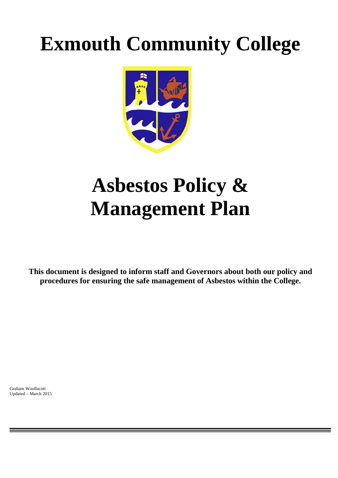# **Exmouth Community College**



## **Asbestos Policy & Management Plan**

**This document is designed to inform staff and Governors about both our policy and procedures for ensuring the safe management of Asbestos within the College.** 

Graham Woollacott Updated – March 2015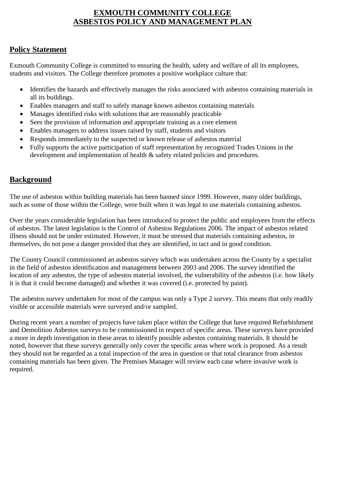#### **EXMOUTH COMMUNITY COLLEGE ASBESTOS POLICY AND MANAGEMENT PLAN**

#### **Policy Statement**

Exmouth Community College is committed to ensuring the health, safety and welfare of all its employees, students and visitors. The College therefore promotes a positive workplace culture that:

- Identifies the hazards and effectively manages the risks associated with asbestos containing materials in all its buildings.
- Enables managers and staff to safely manage known asbestos containing materials
- Manages identified risks with solutions that are reasonably practicable
- Sees the provision of information and appropriate training as a core element
- Enables managers to address issues raised by staff, students and visitors
- Responds immediately to the suspected or known release of asbestos material
- Fully supports the active participation of staff representation by recognized Trades Unions in the development and implementation of health & safety related policies and procedures.

#### **Background**

The use of asbestos within building materials has been banned since 1999. However, many older buildings, such as some of those within the College, were built when it was legal to use materials containing asbestos.

Over the years considerable legislation has been introduced to protect the public and employees from the effects of asbestos. The latest legislation is the Control of Asbestos Regulations 2006. The impact of asbestos related illness should not be under estimated. However, it must be stressed that materials containing asbestos, in themselves, do not pose a danger provided that they are identified, in tact and in good condition.

The County Council commissioned an asbestos survey which was undertaken across the County by a specialist in the field of asbestos identification and management between 2003 and 2006. The survey identified the location of any asbestos, the type of asbestos material involved, the vulnerability of the asbestos (i.e. how likely it is that it could become damaged) and whether it was covered (i.e. protected by paint).

The asbestos survey undertaken for most of the campus was only a Type 2 survey. This means that only readily visible or accessible materials were surveyed and/or sampled.

During recent years a number of projects have taken place within the College that have required Refurbishment and Demolition Asbestos surveys to be commissioned in respect of specific areas. These surveys have provided a more in depth investigation in these areas to identify possible asbestos containing materials. It should be noted, however that these surveys generally only cover the specific areas where work is proposed. As a result they should not be regarded as a total inspection of the area in question or that total clearance from asbestos containing materials has been given. The Premises Manager will review each case where invasive work is required.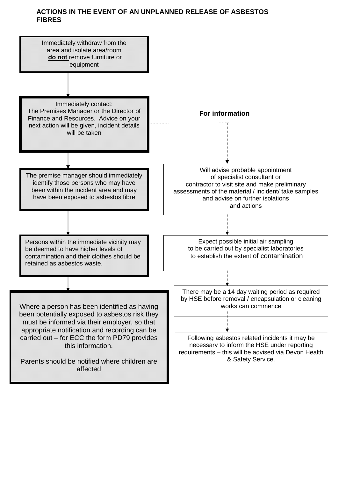#### **ACTIONS IN THE EVENT OF AN UNPLANNED RELEASE OF ASBESTOS FIBRES**

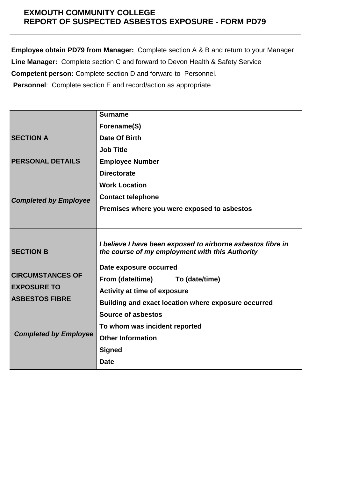#### **EXMOUTH COMMUNITY COLLEGE REPORT OF SUSPECTED ASBESTOS EXPOSURE - FORM PD79**

**Employee obtain PD79 from Manager:** Complete section A & B and return to your Manager **Line Manager:** Complete section C and forward to Devon Health & Safety Service **Competent person:** Complete section D and forward to Personnel.  **Personnel**: Complete section E and record/action as appropriate

|                                                                                                                            | <b>Surname</b>                                                                                                                                                                                                                                                                                                                                                                   |
|----------------------------------------------------------------------------------------------------------------------------|----------------------------------------------------------------------------------------------------------------------------------------------------------------------------------------------------------------------------------------------------------------------------------------------------------------------------------------------------------------------------------|
|                                                                                                                            | Forename(S)                                                                                                                                                                                                                                                                                                                                                                      |
| <b>SECTION A</b>                                                                                                           | Date Of Birth                                                                                                                                                                                                                                                                                                                                                                    |
|                                                                                                                            | <b>Job Title</b>                                                                                                                                                                                                                                                                                                                                                                 |
| <b>PERSONAL DETAILS</b>                                                                                                    | <b>Employee Number</b>                                                                                                                                                                                                                                                                                                                                                           |
|                                                                                                                            | <b>Directorate</b>                                                                                                                                                                                                                                                                                                                                                               |
|                                                                                                                            | <b>Work Location</b>                                                                                                                                                                                                                                                                                                                                                             |
| <b>Completed by Employee</b>                                                                                               | <b>Contact telephone</b>                                                                                                                                                                                                                                                                                                                                                         |
|                                                                                                                            | Premises where you were exposed to asbestos                                                                                                                                                                                                                                                                                                                                      |
|                                                                                                                            |                                                                                                                                                                                                                                                                                                                                                                                  |
| <b>SECTION B</b><br><b>CIRCUMSTANCES OF</b><br><b>EXPOSURE TO</b><br><b>ASBESTOS FIBRE</b><br><b>Completed by Employee</b> | I believe I have been exposed to airborne asbestos fibre in<br>the course of my employment with this Authority<br>Date exposure occurred<br>From (date/time)<br>To (date/time)<br><b>Activity at time of exposure</b><br>Building and exact location where exposure occurred<br>Source of asbestos<br>To whom was incident reported<br><b>Other Information</b><br><b>Signed</b> |
|                                                                                                                            | <b>Date</b>                                                                                                                                                                                                                                                                                                                                                                      |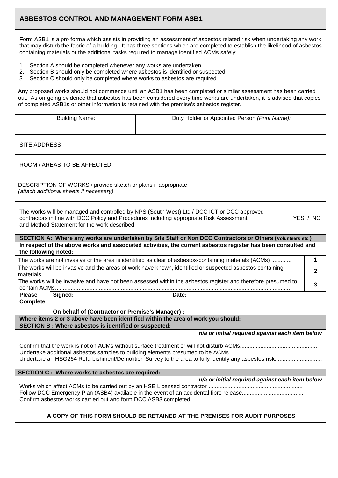#### **ASBESTOS CONTROL AND MANAGEMENT FORM ASB1**

Form ASB1 is a pro forma which assists in providing an assessment of asbestos related risk when undertaking any work that may disturb the fabric of a building. It has three sections which are completed to establish the likelihood of asbestos containing materials or the additional tasks required to manage identified ACMs safely:

- 1. Section A should be completed whenever any works are undertaken
- 2. Section B should only be completed where asbestos is identified or suspected
- 3. Section C should only be completed where works to asbestos are required

Any proposed works should not commence until an ASB1 has been completed or similar assessment has been carried out. As on-going evidence that asbestos has been considered every time works are undertaken, it is advised that copies of completed ASB1s or other information is retained with the premise's asbestos register.

|                                                                                                          | <b>Building Name:</b>                                                                                    | Duty Holder or Appointed Person (Print Name):                                                                                                                                          |              |  |
|----------------------------------------------------------------------------------------------------------|----------------------------------------------------------------------------------------------------------|----------------------------------------------------------------------------------------------------------------------------------------------------------------------------------------|--------------|--|
|                                                                                                          |                                                                                                          |                                                                                                                                                                                        |              |  |
| <b>SITE ADDRESS</b>                                                                                      |                                                                                                          |                                                                                                                                                                                        |              |  |
|                                                                                                          | ROOM / AREAS TO BE AFFECTED                                                                              |                                                                                                                                                                                        |              |  |
|                                                                                                          | DESCRIPTION OF WORKS / provide sketch or plans if appropriate<br>(attach additional sheets if necessary) |                                                                                                                                                                                        |              |  |
|                                                                                                          | and Method Statement for the work described                                                              | The works will be managed and controlled by NPS (South West) Ltd / DCC ICT or DCC approved<br>contractors in line with DCC Policy and Procedures including appropriate Risk Assessment | YES / NO     |  |
|                                                                                                          |                                                                                                          | SECTION A: Where any works are undertaken by Site Staff or Non DCC Contractors or Others (Volunteers etc.)                                                                             |              |  |
| the following noted:                                                                                     |                                                                                                          | In respect of the above works and associated activities, the current asbestos register has been consulted and                                                                          |              |  |
| The works are not invasive or the area is identified as clear of asbestos-containing materials (ACMs)    |                                                                                                          |                                                                                                                                                                                        | 1            |  |
| The works will be invasive and the areas of work have known, identified or suspected asbestos containing |                                                                                                          |                                                                                                                                                                                        |              |  |
|                                                                                                          |                                                                                                          |                                                                                                                                                                                        | $\mathbf{2}$ |  |
|                                                                                                          |                                                                                                          | The works will be invasive and have not been assessed within the asbestos register and therefore presumed to                                                                           | 3            |  |
| <b>Please</b><br><b>Complete</b>                                                                         | Signed:                                                                                                  | Date:                                                                                                                                                                                  |              |  |
|                                                                                                          | On behalf of (Contractor or Premise's Manager) :                                                         |                                                                                                                                                                                        |              |  |
| Where items 2 or 3 above have been identified within the area of work you should:                        |                                                                                                          |                                                                                                                                                                                        |              |  |
|                                                                                                          | <b>SECTION B: Where asbestos is identified or suspected:</b>                                             |                                                                                                                                                                                        |              |  |
|                                                                                                          |                                                                                                          | n/a or initial required against each item below                                                                                                                                        |              |  |
|                                                                                                          |                                                                                                          |                                                                                                                                                                                        |              |  |
|                                                                                                          | <b>SECTION C: Where works to asbestos are required:</b>                                                  |                                                                                                                                                                                        |              |  |
|                                                                                                          |                                                                                                          | n/a or initial required against each item below                                                                                                                                        |              |  |
|                                                                                                          |                                                                                                          | A COPY OF THIS FORM SHOULD BE RETAINED AT THE PREMISES FOR AUDIT PURPOSES                                                                                                              |              |  |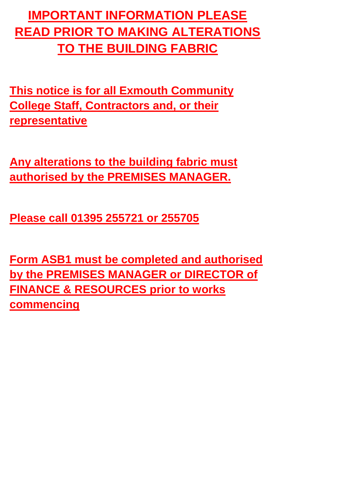### **IMPORTANT INFORMATION PLEASE READ PRIOR TO MAKING ALTERATIONS TO THE BUILDING FABRIC**

**This notice is for all Exmouth Community College Staff, Contractors and, or their representative**

**Any alterations to the building fabric must authorised by the PREMISES MANAGER.**

**Please call 01395 255721 or 255705**

**Form ASB1 must be completed and authorised by the PREMISES MANAGER or DIRECTOR of FINANCE & RESOURCES prior to works commencing**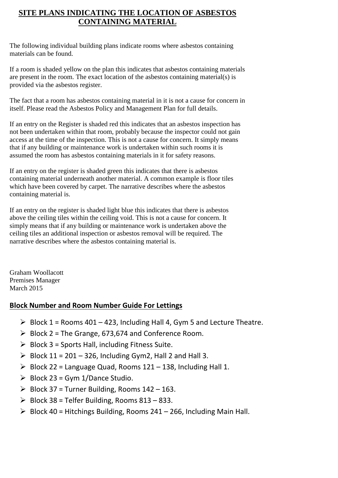#### **SITE PLANS INDICATING THE LOCATION OF ASBESTOS CONTAINING MATERIAL**

The following individual building plans indicate rooms where asbestos containing materials can be found.

If a room is shaded yellow on the plan this indicates that asbestos containing materials are present in the room. The exact location of the asbestos containing material(s) is provided via the asbestos register.

The fact that a room has asbestos containing material in it is not a cause for concern in itself. Please read the Asbestos Policy and Management Plan for full details.

If an entry on the Register is shaded red this indicates that an asbestos inspection has not been undertaken within that room, probably because the inspector could not gain access at the time of the inspection. This is not a cause for concern. It simply means that if any building or maintenance work is undertaken within such rooms it is assumed the room has asbestos containing materials in it for safety reasons.

If an entry on the register is shaded green this indicates that there is asbestos containing material underneath another material. A common example is floor tiles which have been covered by carpet. The narrative describes where the asbestos containing material is.

If an entry on the register is shaded light blue this indicates that there is asbestos above the ceiling tiles within the ceiling void. This is not a cause for concern. It simply means that if any building or maintenance work is undertaken above the ceiling tiles an additional inspection or asbestos removal will be required. The narrative describes where the asbestos containing material is.

Graham Woollacott Premises Manager March 2015

#### **Block Number and Room Number Guide For Lettings**

- $\triangleright$  Block 1 = Rooms 401 423, Including Hall 4, Gym 5 and Lecture Theatre.
- $\triangleright$  Block 2 = The Grange, 673,674 and Conference Room.
- $\triangleright$  Block 3 = Sports Hall, including Fitness Suite.
- $\triangleright$  Block 11 = 201 326, Including Gym2, Hall 2 and Hall 3.
- $\triangleright$  Block 22 = Language Quad, Rooms 121 138, Including Hall 1.
- $\triangleright$  Block 23 = Gym 1/Dance Studio.
- $\triangleright$  Block 37 = Turner Building, Rooms 142 163.
- $\triangleright$  Block 38 = Telfer Building, Rooms 813 833.
- $\triangleright$  Block 40 = Hitchings Building, Rooms 241 266, Including Main Hall.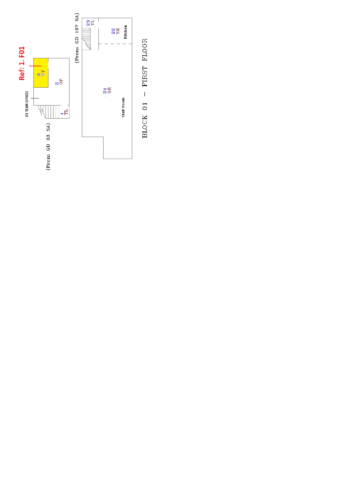

BLOCK 01 - FIRST FLOOR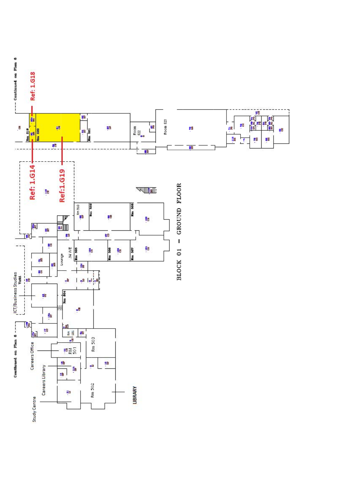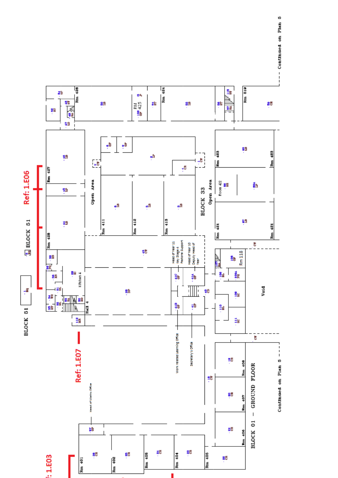

-- Continued on Plan 5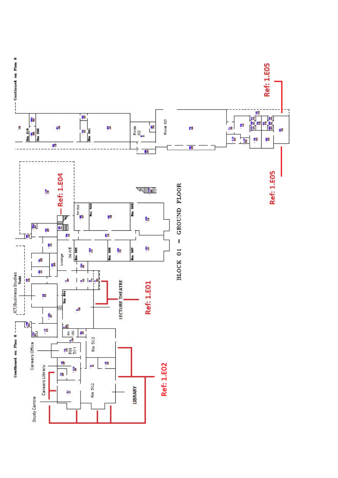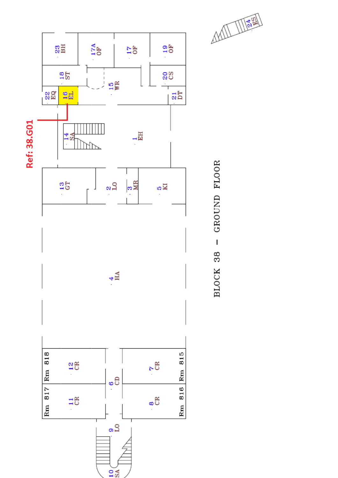

GROUND FLOOR  $\overline{1}$ BLOCK 38

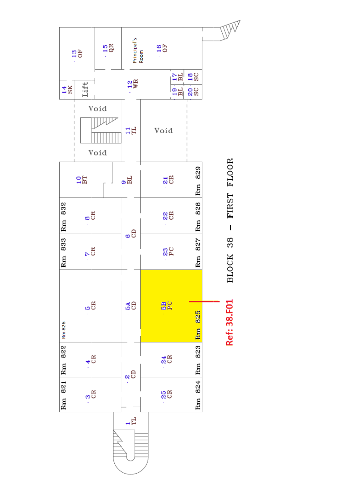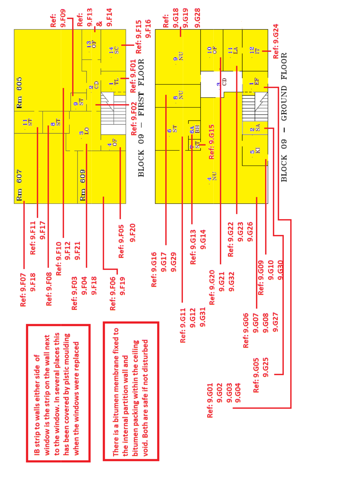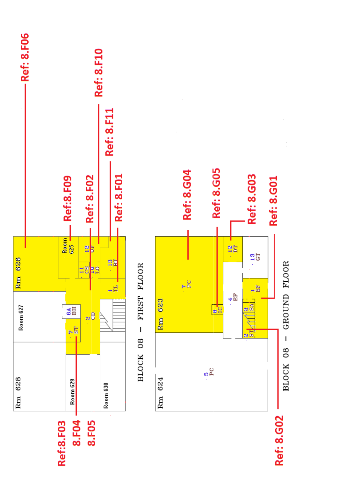





Ref: 8.G02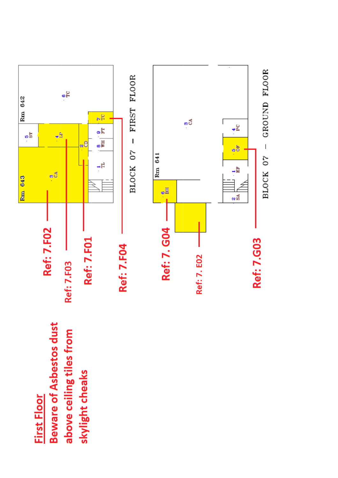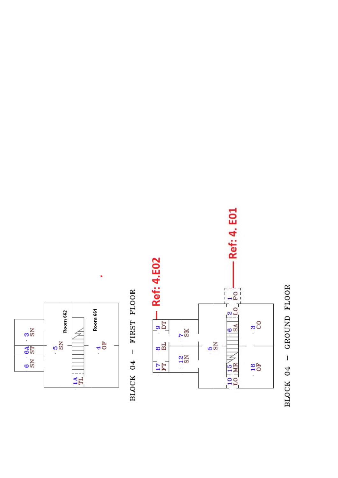

BLOCK 04 - FIRST FLOOR



BLOCK 04 - GROUND FLOOR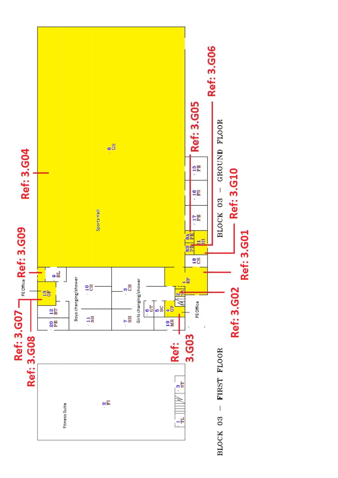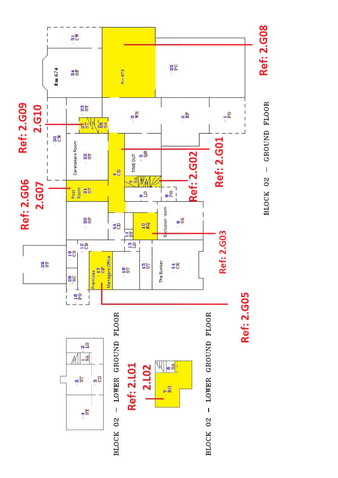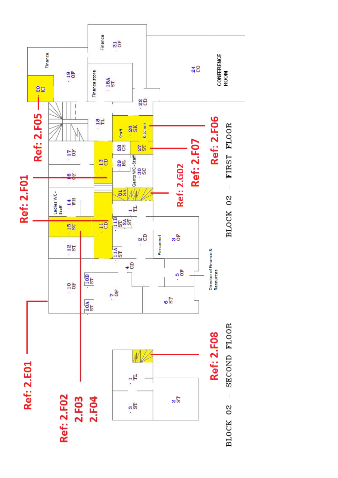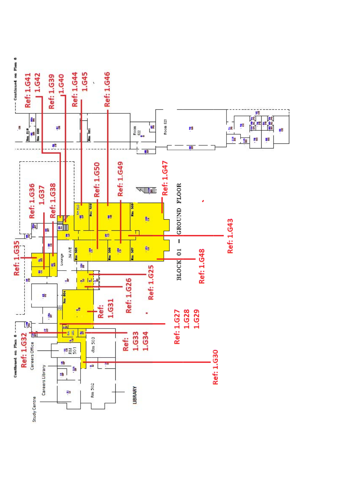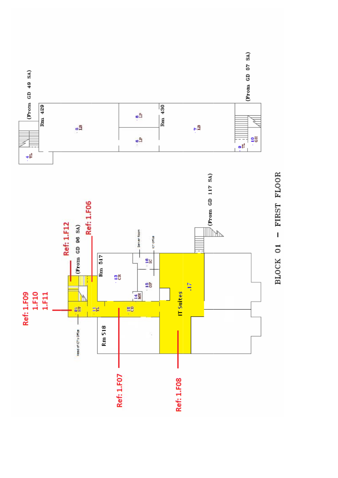

BLOCK 01 - FIRST FLOOR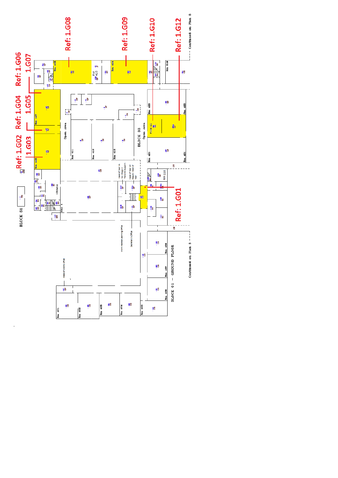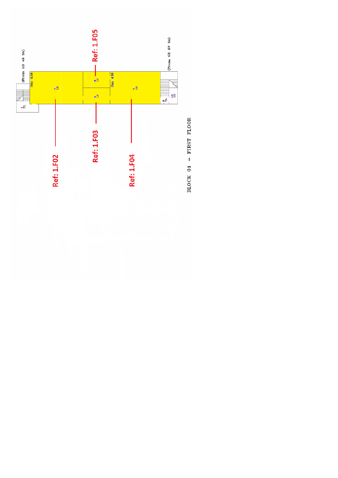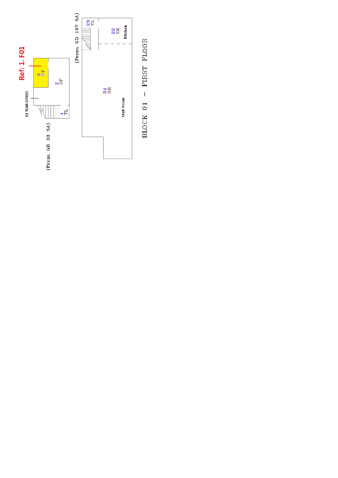

BLOCK 01 - FIRST FLOOR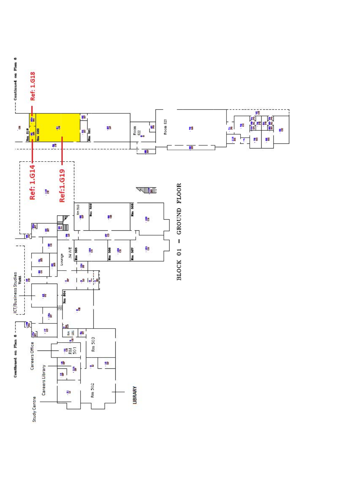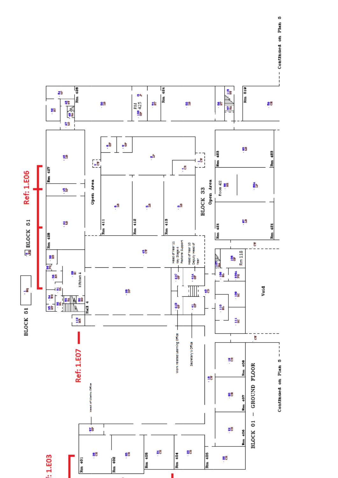

-- Continued on Plan 5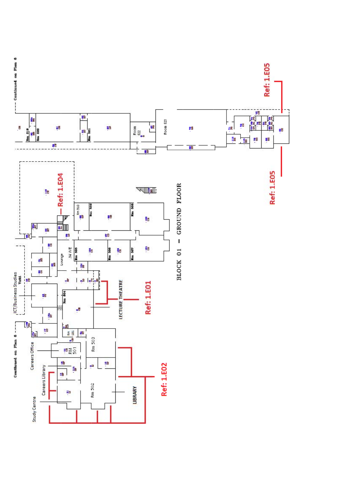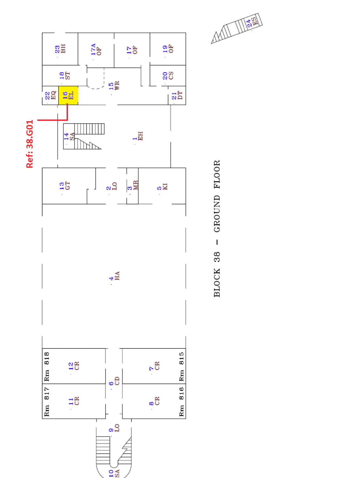

GROUND FLOOR  $\overline{1}$ BLOCK 38

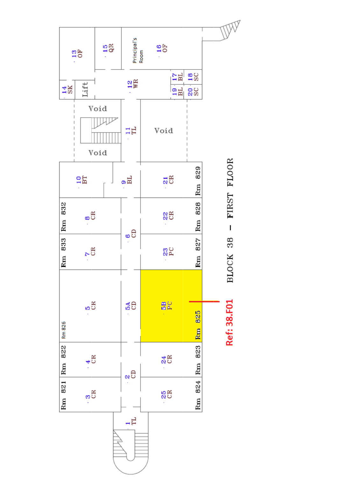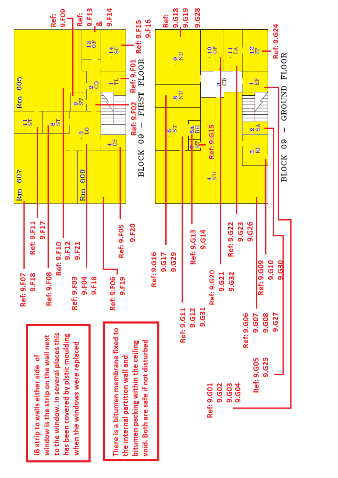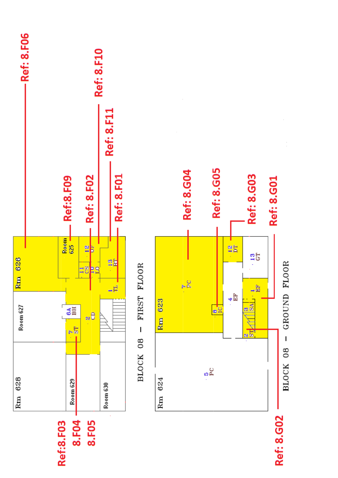





Ref: 8.G02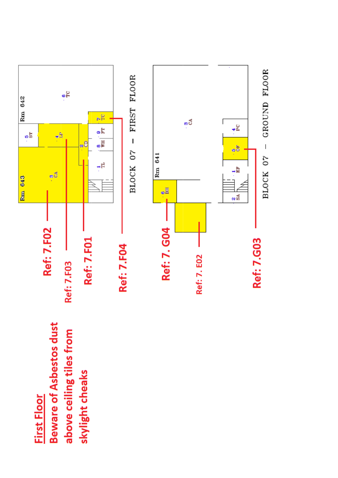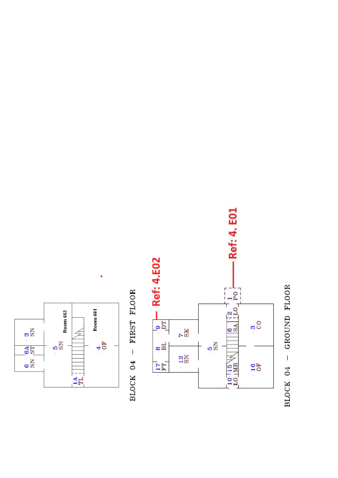

BLOCK 04 - FIRST FLOOR



BLOCK 04 - GROUND FLOOR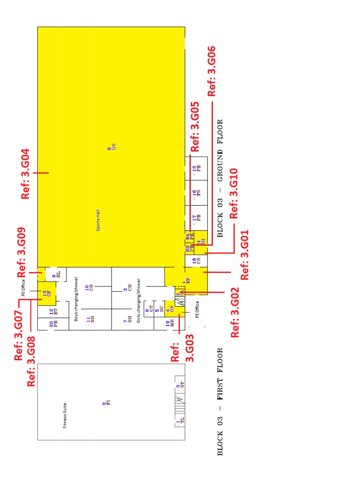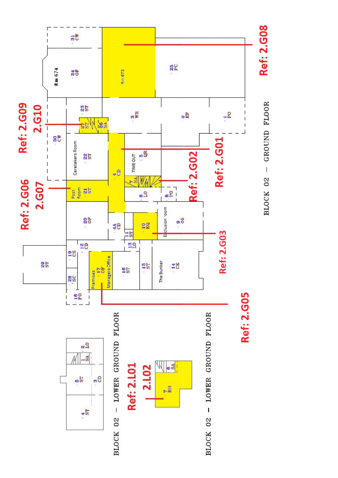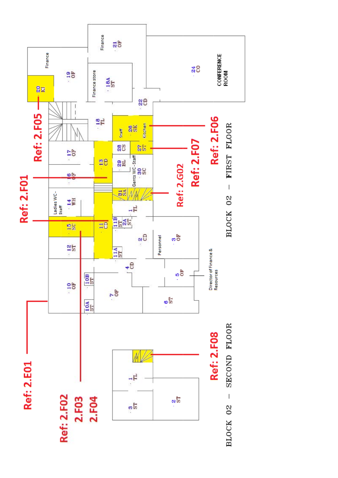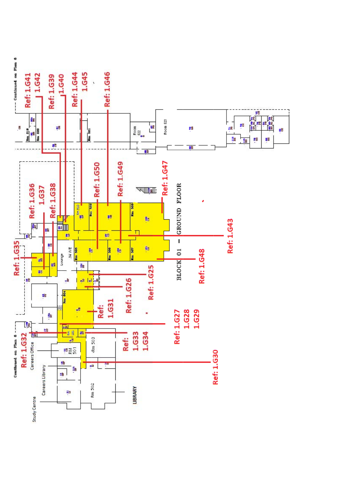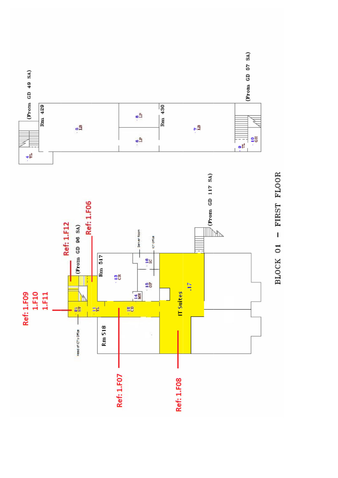

BLOCK 01 - FIRST FLOOR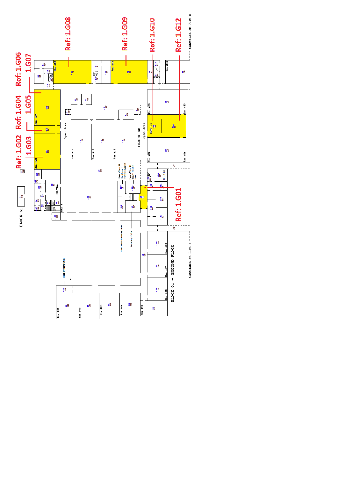